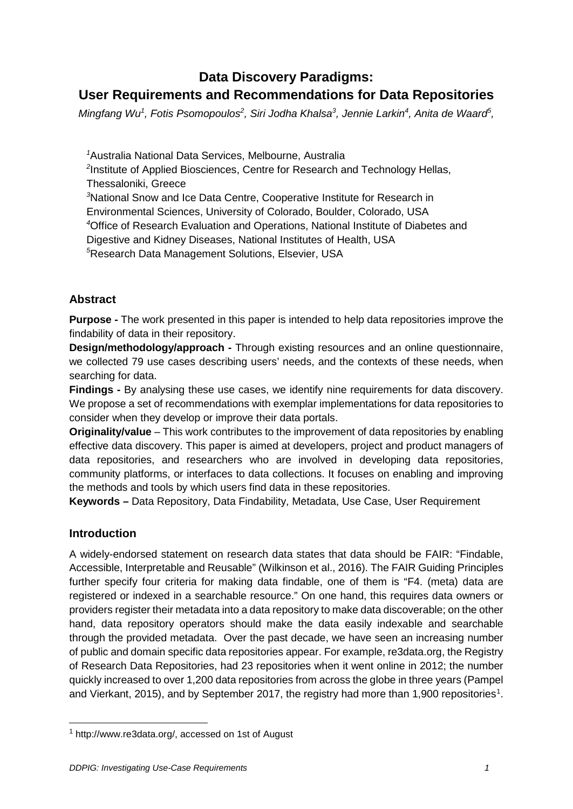# **Data Discovery Paradigms: User Requirements and Recommendations for Data Repositories**

*Mingfang Wu<sup>1</sup>, Fotis Psomopoulos<sup>2</sup>, Siri Jodha Khalsa<sup>3</sup>, Jennie Larkin<sup>4</sup>, Anita de Waard<sup>5</sup>,* 

 Australia National Data Services, Melbourne, Australia Institute of Applied Biosciences, Centre for Research and Technology Hellas, Thessaloniki, Greece National Snow and Ice Data Centre, Cooperative Institute for Research in Environmental Sciences, University of Colorado, Boulder, Colorado, USA Office of Research Evaluation and Operations, National Institute of Diabetes and Digestive and Kidney Diseases, National Institutes of Health, USA Research Data Management Solutions, Elsevier, USA

## **Abstract**

**Purpose -** The work presented in this paper is intended to help data repositories improve the findability of data in their repository.

**Design/methodology/approach -** Through existing resources and an online questionnaire, we collected 79 use cases describing users' needs, and the contexts of these needs, when searching for data.

**Findings -** By analysing these use cases, we identify nine requirements for data discovery. We propose a set of recommendations with exemplar implementations for data repositories to consider when they develop or improve their data portals.

**Originality/value** – This work contributes to the improvement of data repositories by enabling effective data discovery. This paper is aimed at developers, project and product managers of data repositories, and researchers who are involved in developing data repositories, community platforms, or interfaces to data collections. It focuses on enabling and improving the methods and tools by which users find data in these repositories.

**Keywords –** Data Repository, Data Findability, Metadata, Use Case, User Requirement

## **Introduction**

A widely-endorsed statement on research data states that data should be FAIR: "Findable, Accessible, Interpretable and Reusable" (Wilkinson et al., 2016). The FAIR Guiding Principles further specify four criteria for making data findable, one of them is "F4. (meta) data are registered or indexed in a searchable resource." On one hand, this requires data owners or providers register their metadata into a data repository to make data discoverable; on the other hand, data repository operators should make the data easily indexable and searchable through the provided metadata. Over the past decade, we have seen an increasing number of public and domain specific data repositories appear. For example, re3data.org, the Registry of Research Data Repositories, had 23 repositories when it went online in 2012; the number quickly increased to over 1,200 data repositories from across the globe in three years (Pampel and Vierkant, 20[1](#page-0-0)5), and by September 2017, the registry had more than 1,900 repositories<sup>1</sup>.

<span id="page-0-0"></span> <sup>1</sup> [http://www.re3data.org/, accessed on 1st of August](about:blank)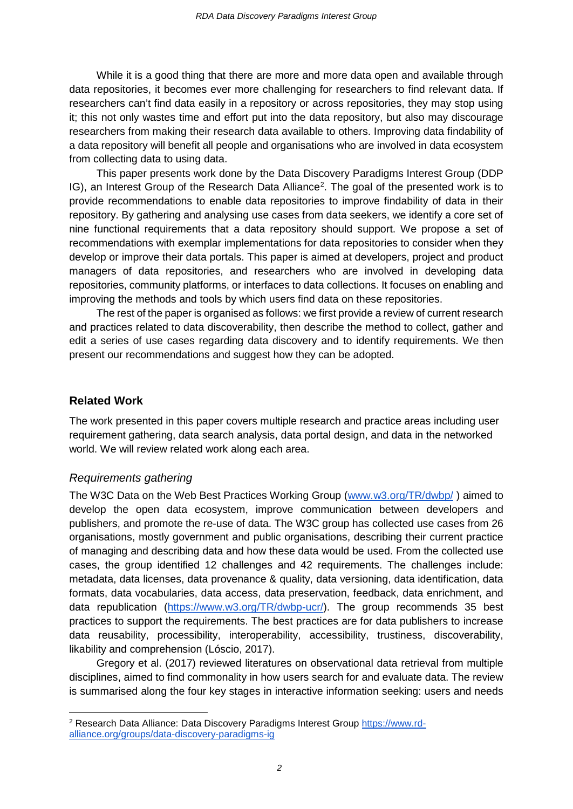While it is a good thing that there are more and more data open and available through data repositories, it becomes ever more challenging for researchers to find relevant data. If researchers can't find data easily in a repository or across repositories, they may stop using it; this not only wastes time and effort put into the data repository, but also may discourage researchers from making their research data available to others. Improving data findability of a data repository will benefit all people and organisations who are involved in data ecosystem from collecting data to using data.

This paper presents work done by the Data Discovery Paradigms Interest Group (DDP IG), an Interest Group of the Research Data Alliance<sup>[2](#page-1-0)</sup>. The goal of the presented work is to provide recommendations to enable data repositories to improve findability of data in their repository. By gathering and analysing use cases from data seekers, we identify a core set of nine functional requirements that a data repository should support. We propose a set of recommendations with exemplar implementations for data repositories to consider when they develop or improve their data portals. This paper is aimed at developers, project and product managers of data repositories, and researchers who are involved in developing data repositories, community platforms, or interfaces to data collections. It focuses on enabling and improving the methods and tools by which users find data on these repositories.

The rest of the paper is organised as follows: we first provide a review of current research and practices related to data discoverability, then describe the method to collect, gather and edit a series of use cases regarding data discovery and to identify requirements. We then present our recommendations and suggest how they can be adopted.

#### **Related Work**

The work presented in this paper covers multiple research and practice areas including user requirement gathering, data search analysis, data portal design, and data in the networked world. We will review related work along each area.

#### *Requirements gathering*

The W3C Data on the Web Best Practices Working Group [\(www.w3.org/TR/dwbp/](http://www.w3.org/TR/dwbp/) ) aimed to develop the open data ecosystem, improve communication between developers and publishers, and promote the re-use of data. The W3C group has collected use cases from 26 organisations, mostly government and public organisations, describing their current practice of managing and describing data and how these data would be used. From the collected use cases, the group identified 12 challenges and 42 requirements. The challenges include: metadata, data licenses, data provenance & quality, data versioning, data identification, data formats, data vocabularies, data access, data preservation, feedback, data enrichment, and data republication [\(https://www.w3.org/TR/dwbp-ucr/\)](https://www.w3.org/TR/dwbp-ucr/). The group recommends 35 best practices to support the requirements. The best practices are for data publishers to increase data reusability, processibility, interoperability, accessibility, trustiness, discoverability, likability and comprehension (Lóscio, 2017).

Gregory et al. (2017) reviewed literatures on observational data retrieval from multiple disciplines, aimed to find commonality in how users search for and evaluate data. The review is summarised along the four key stages in interactive information seeking: users and needs

<span id="page-1-0"></span><sup>&</sup>lt;sup>2</sup> Research Data Alliance: Data Discovery Paradigms Interest Group [https://www.rd](https://www.rd-alliance.org/groups/data-discovery-paradigms-ig)[alliance.org/groups/data-discovery-paradigms-ig](https://www.rd-alliance.org/groups/data-discovery-paradigms-ig)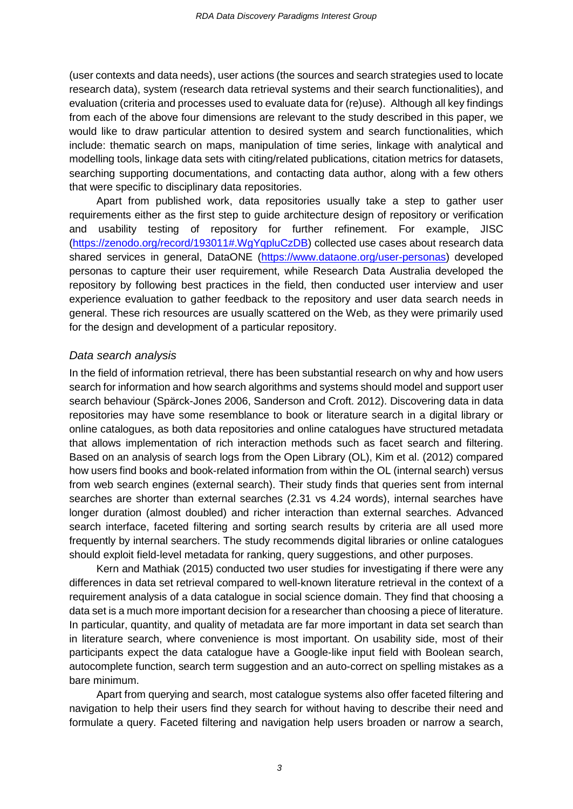(user contexts and data needs), user actions (the sources and search strategies used to locate research data), system (research data retrieval systems and their search functionalities), and evaluation (criteria and processes used to evaluate data for (re)use). Although all key findings from each of the above four dimensions are relevant to the study described in this paper, we would like to draw particular attention to desired system and search functionalities, which include: thematic search on maps, manipulation of time series, linkage with analytical and modelling tools, linkage data sets with citing/related publications, citation metrics for datasets, searching supporting documentations, and contacting data author, along with a few others that were specific to disciplinary data repositories.

Apart from published work, data repositories usually take a step to gather user requirements either as the first step to guide architecture design of repository or verification and usability testing of repository for further refinement. For example, JISC [\(https://zenodo.org/record/193011#.WgYqpluCzDB\)](https://zenodo.org/record/193011%23.WgYqpluCzDB) collected use cases about research data shared services in general, DataONE [\(https://www.dataone.org/user-personas\)](https://www.dataone.org/user-personas) developed personas to capture their user requirement, while Research Data Australia developed the repository by following best practices in the field, then conducted user interview and user experience evaluation to gather feedback to the repository and user data search needs in general. These rich resources are usually scattered on the Web, as they were primarily used for the design and development of a particular repository.

#### *Data search analysis*

In the field of information retrieval, there has been substantial research on why and how users search for information and how search algorithms and systems should model and support user search behaviour (Spärck-Jones 2006, Sanderson and Croft. 2012). Discovering data in data repositories may have some resemblance to book or literature search in a digital library or online catalogues, as both data repositories and online catalogues have structured metadata that allows implementation of rich interaction methods such as facet search and filtering. Based on an analysis of search logs from the Open Library (OL), Kim et al. (2012) compared how users find books and book-related information from within the OL (internal search) versus from web search engines (external search). Their study finds that queries sent from internal searches are shorter than external searches (2.31 vs 4.24 words), internal searches have longer duration (almost doubled) and richer interaction than external searches. Advanced search interface, faceted filtering and sorting search results by criteria are all used more frequently by internal searchers. The study recommends digital libraries or online catalogues should exploit field-level metadata for ranking, query suggestions, and other purposes.

Kern and Mathiak (2015) conducted two user studies for investigating if there were any differences in data set retrieval compared to well-known literature retrieval in the context of a requirement analysis of a data catalogue in social science domain. They find that choosing a data set is a much more important decision for a researcher than choosing a piece of literature. In particular, quantity, and quality of metadata are far more important in data set search than in literature search, where convenience is most important. On usability side, most of their participants expect the data catalogue have a Google-like input field with Boolean search, autocomplete function, search term suggestion and an auto-correct on spelling mistakes as a bare minimum.

Apart from querying and search, most catalogue systems also offer faceted filtering and navigation to help their users find they search for without having to describe their need and formulate a query. Faceted filtering and navigation help users broaden or narrow a search,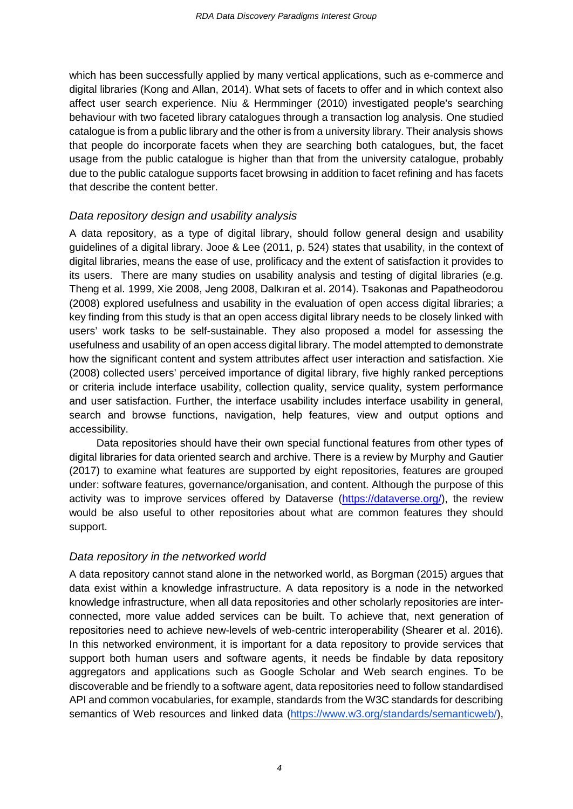which has been successfully applied by many vertical applications, such as e-commerce and digital libraries (Kong and Allan, 2014). What sets of facets to offer and in which context also affect user search experience. Niu & Hermminger (2010) investigated people's searching behaviour with two faceted library catalogues through a transaction log analysis. One studied catalogue is from a public library and the other is from a university library. Their analysis shows that people do incorporate facets when they are searching both catalogues, but, the facet usage from the public catalogue is higher than that from the university catalogue, probably due to the public catalogue supports facet browsing in addition to facet refining and has facets that describe the content better.

#### *Data repository design and usability analysis*

A data repository, as a type of digital library, should follow general design and usability guidelines of a digital library. Jooe & Lee (2011, p. 524) states that usability, in the context of digital libraries, means the ease of use, prolificacy and the extent of satisfaction it provides to its users. There are many studies on usability analysis and testing of digital libraries (e.g. Theng et al. 1999, Xie 2008, Jeng 2008, Dalkıran et al. 2014). Tsakonas and Papatheodorou (2008) explored usefulness and usability in the evaluation of open access digital libraries; a key finding from this study is that an open access digital library needs to be closely linked with users' work tasks to be self-sustainable. They also proposed a model for assessing the usefulness and usability of an open access digital library. The model attempted to demonstrate how the significant content and system attributes affect user interaction and satisfaction. Xie (2008) collected users' perceived importance of digital library, five highly ranked perceptions or criteria include interface usability, collection quality, service quality, system performance and user satisfaction. Further, the interface usability includes interface usability in general, search and browse functions, navigation, help features, view and output options and accessibility.

Data repositories should have their own special functional features from other types of digital libraries for data oriented search and archive. There is a review by Murphy and Gautier (2017) to examine what features are supported by eight repositories, features are grouped under: software features, governance/organisation, and content. Although the purpose of this activity was to improve services offered by Dataverse [\(https://dataverse.org/\)](https://dataverse.org/), the review would be also useful to other repositories about what are common features they should support.

#### *Data repository in the networked world*

A data repository cannot stand alone in the networked world, as Borgman (2015) argues that data exist within a knowledge infrastructure. A data repository is a node in the networked knowledge infrastructure, when all data repositories and other scholarly repositories are interconnected, more value added services can be built. To achieve that, next generation of repositories need to achieve new-levels of web-centric interoperability (Shearer et al. 2016). In this networked environment, it is important for a data repository to provide services that support both human users and software agents, it needs be findable by data repository aggregators and applications such as Google Scholar and Web search engines. To be discoverable and be friendly to a software agent, data repositories need to follow standardised API and common vocabularies, for example, standards from the W3C standards for describing semantics of Web resources and linked data [\(https://www.w3.org/standards/semanticweb/\)](https://www.w3.org/standards/semanticweb/),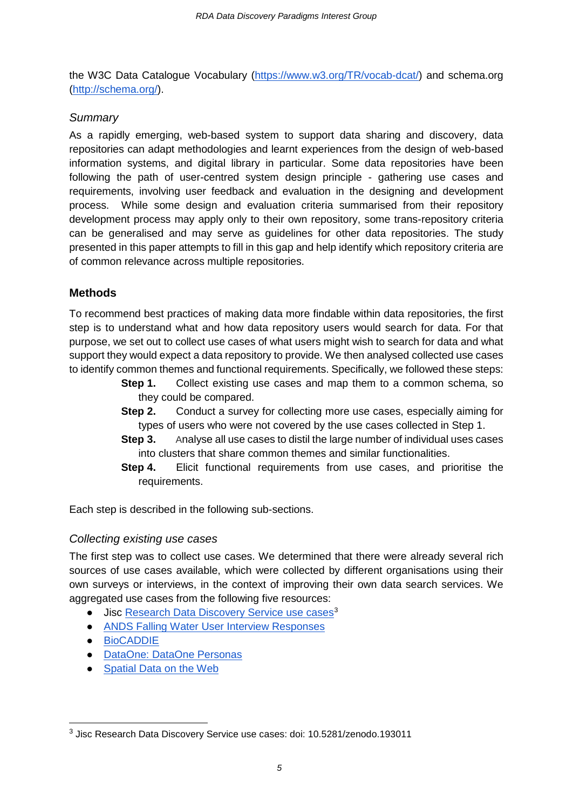the W3C Data Catalogue Vocabulary [\(https://www.w3.org/TR/vocab-dcat/\)](https://www.w3.org/TR/vocab-dcat/) and schema.org [\(http://schema.org/\)](http://schema.org/).

## *Summary*

As a rapidly emerging, web-based system to support data sharing and discovery, data repositories can adapt methodologies and learnt experiences from the design of web-based information systems, and digital library in particular. Some data repositories have been following the path of user-centred system design principle - gathering use cases and requirements, involving user feedback and evaluation in the designing and development process. While some design and evaluation criteria summarised from their repository development process may apply only to their own repository, some trans-repository criteria can be generalised and may serve as guidelines for other data repositories. The study presented in this paper attempts to fill in this gap and help identify which repository criteria are of common relevance across multiple repositories.

## **Methods**

To recommend best practices of making data more findable within data repositories, the first step is to understand what and how data repository users would search for data. For that purpose, we set out to collect use cases of what users might wish to search for data and what support they would expect a data repository to provide. We then analysed collected use cases to identify common themes and functional requirements. Specifically, we followed these steps:

- **Step 1.** Collect existing use cases and map them to a common schema, so they could be compared.
- **Step 2.** Conduct a survey for collecting more use cases, especially aiming for types of users who were not covered by the use cases collected in Step 1.
- **Step 3.** Analyse all use cases to distil the large number of individual uses cases into clusters that share common themes and similar functionalities.
- **Step 4.** Elicit functional requirements from use cases, and prioritise the requirements.

Each step is described in the following sub-sections.

## *Collecting existing use cases*

The first step was to collect use cases. We determined that there were already several rich sources of use cases available, which were collected by different organisations using their own surveys or interviews, in the context of improving their own data search services. We aggregated use cases from the following five resources:

- Jisc [Research Data Discovery Service use cases](https://zenodo.org/record/193011%23.WFklCVOLS00)<sup>[3](#page-4-0)</sup>
- [ANDS Falling Water User Interview Responses](https://docs.google.com/spreadsheets/d/1gK3QfwUOBHtj91ONrqvwfnbfhpSMX6dgd96xADRL0Rk/edit?usp=sharing)
- [BioCADDIE](https://biocaddie.org/group/working-group/working-group-4-use-cases-and-testing-benchmarks)
- [DataOne: DataOne Personas](https://www.dataone.org/user-personas)
- [Spatial Data on the Web](https://www.w3.org/TR/sdw-ucr)

<span id="page-4-0"></span> <sup>3</sup> Jisc Research Data Discovery Service use cases: doi: 10.5281/zenodo.193011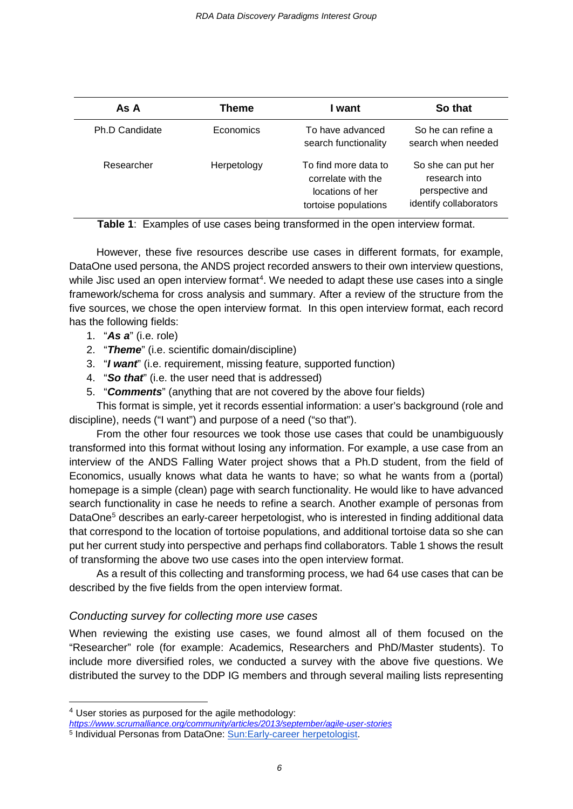| As A           | Theme       | l want                                                                                 | So that                                                                          |
|----------------|-------------|----------------------------------------------------------------------------------------|----------------------------------------------------------------------------------|
| Ph.D Candidate | Economics   | To have advanced<br>search functionality                                               | So he can refine a<br>search when needed                                         |
| Researcher     | Herpetology | To find more data to<br>correlate with the<br>locations of her<br>tortoise populations | So she can put her<br>research into<br>perspective and<br>identify collaborators |

**Table 1**: Examples of use cases being transformed in the open interview format.

However, these five resources describe use cases in different formats, for example, DataOne used persona, the ANDS project recorded answers to their own interview questions, while Jisc used [an open interview format](https://www.scrumalliance.org/community/articles/2013/september/agile-user-stories)<sup>[4](#page-5-0)</sup>. We needed to adapt these use cases into a single framework/schema for cross analysis and summary. After a review of the structure from the five sources, we chose the open interview format. In this open interview format, each record has the following fields:

- 1. "*As a*" (i.e. role)
- 2. "*Theme*" (i.e. scientific domain/discipline)
- 3. "*I want*" (i.e. requirement, missing feature, supported function)
- 4. "*So that*" (i.e. the user need that is addressed)
- 5. "*Comments*" (anything that are not covered by the above four fields)

This format is simple, yet it records essential information: a user's background (role and discipline), needs ("I want") and purpose of a need ("so that").

From the other four resources we took those use cases that could be unambiguously transformed into this format without losing any information. For example, a use case from an interview of the ANDS Falling Water project shows that a Ph.D student, from the field of Economics, usually knows what data he wants to have; so what he wants from a (portal) homepage is a simple (clean) page with search functionality. He would like to have advanced search functionality in case he needs to refine a search. Another example of personas from DataOne<sup>[5](#page-5-1)</sup> describes an early-career herpetologist, who is interested in finding additional data that correspond to the location of tortoise populations, and additional tortoise data so she can put her current study into perspective and perhaps find collaborators. Table 1 shows the result of transforming the above two use cases into the open interview format.

As a result of this collecting and transforming process, we had 64 use cases that can be described by the five fields from the open interview format.

## *Conducting survey for collecting more use cases*

When reviewing the existing use cases, we found almost all of them focused on the "Researcher" role (for example: Academics, Researchers and PhD/Master students). To include more diversified roles, we conducted a survey with the above five questions. We distributed the survey to the DDP IG members and through several mailing lists representing

<span id="page-5-0"></span> <sup>4</sup> User stories as purposed for the agile methodology:

<span id="page-5-1"></span>*<https://www.scrumalliance.org/community/articles/2013/september/agile-user-stories>* <sup>5</sup> Individual Personas from DataOne: [Sun:Early-career herpetologist.](https://www.dataone.org/personas/sun-early-career-herpetologist)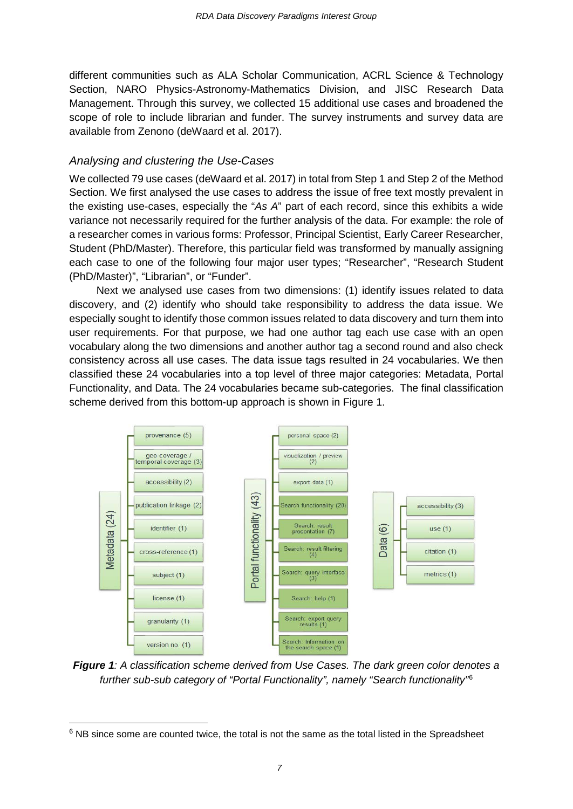different communities such as ALA Scholar Communication, ACRL Science & Technology Section, NARO Physics-Astronomy-Mathematics Division, and JISC Research Data Management. Through this survey, we collected 15 additional use cases and broadened the scope of role to include librarian and funder. The survey instruments and survey data are available from Zenono (deWaard et al. 2017).

#### *Analysing and clustering the Use-Cases*

We collected 79 use cases (deWaard et al. 2017) in total from Step 1 and Step 2 of the Method Section. We first analysed the use cases to address the issue of free text mostly prevalent in the existing use-cases, especially the "*As A*" part of each record, since this exhibits a wide variance not necessarily required for the further analysis of the data. For example: the role of a researcher comes in various forms: Professor, Principal Scientist, Early Career Researcher, Student (PhD/Master). Therefore, this particular field was transformed by manually assigning each case to one of the following four major user types; "Researcher", "Research Student (PhD/Master)", "Librarian", or "Funder".

Next we analysed use cases from two dimensions: (1) identify issues related to data discovery, and (2) identify who should take responsibility to address the data issue. We especially sought to identify those common issues related to data discovery and turn them into user requirements. For that purpose, we had one author tag each use case with an open vocabulary along the two dimensions and another author tag a second round and also check consistency across all use cases. The data issue tags resulted in 24 vocabularies. We then classified these 24 vocabularies into a top level of three major categories: Metadata, Portal Functionality, and Data. The 24 vocabularies became sub-categories. The final classification scheme derived from this bottom-up approach is shown in Figure 1.



*Figure 1: A classification scheme derived from Use Cases. The dark green color denotes a further sub-sub category of "Portal Functionality", namely "Search functionality"*[6](#page-6-0)

<span id="page-6-0"></span> $6$  NB since some are counted twice, the total is not the same as the total listed in the Spreadsheet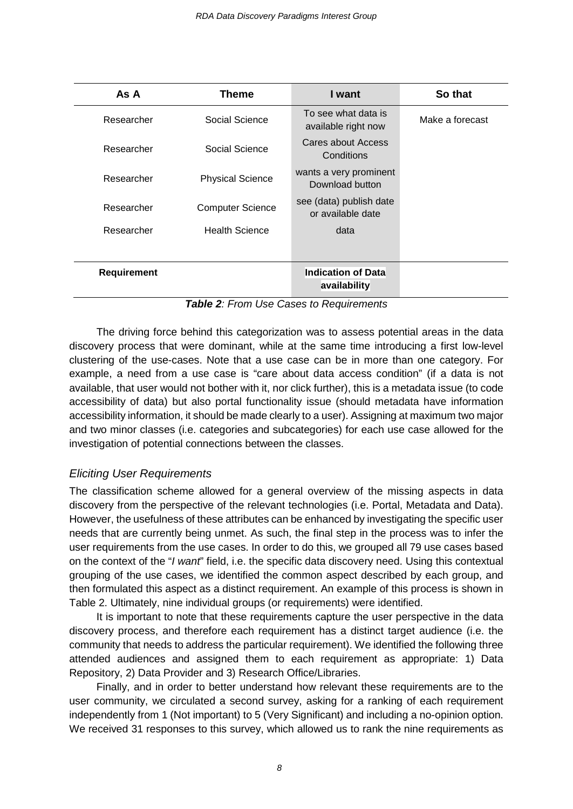| As A               | <b>Theme</b>            | I want                                       | So that         |  |  |
|--------------------|-------------------------|----------------------------------------------|-----------------|--|--|
| Researcher         | Social Science          | To see what data is<br>available right now   | Make a forecast |  |  |
| Researcher         | Social Science          | Cares about Access<br>Conditions             |                 |  |  |
| Researcher         | <b>Physical Science</b> | wants a very prominent<br>Download button    |                 |  |  |
| Researcher         | <b>Computer Science</b> | see (data) publish date<br>or available date |                 |  |  |
| Researcher         | <b>Health Science</b>   | data                                         |                 |  |  |
|                    |                         |                                              |                 |  |  |
| <b>Requirement</b> |                         | <b>Indication of Data</b><br>availability    |                 |  |  |

*Table 2: From Use Cases to Requirements*

The driving force behind this categorization was to assess potential areas in the data discovery process that were dominant, while at the same time introducing a first low-level clustering of the use-cases. Note that a use case can be in more than one category. For example, a need from a use case is "care about data access condition" (if a data is not available, that user would not bother with it, nor click further), this is a metadata issue (to code accessibility of data) but also portal functionality issue (should metadata have information accessibility information, it should be made clearly to a user). Assigning at maximum two major and two minor classes (i.e. categories and subcategories) for each use case allowed for the investigation of potential connections between the classes.

## *Eliciting User Requirements*

The classification scheme allowed for a general overview of the missing aspects in data discovery from the perspective of the relevant technologies (i.e. Portal, Metadata and Data). However, the usefulness of these attributes can be enhanced by investigating the specific user needs that are currently being unmet. As such, the final step in the process was to infer the user requirements from the use cases. In order to do this, we grouped all 79 use cases based on the context of the "*I want*" field, i.e. the specific data discovery need. Using this contextual grouping of the use cases, we identified the common aspect described by each group, and then formulated this aspect as a distinct requirement. An example of this process is shown in Table 2. Ultimately, nine individual groups (or requirements) were identified.

It is important to note that these requirements capture the user perspective in the data discovery process, and therefore each requirement has a distinct target audience (i.e. the community that needs to address the particular requirement). We identified the following three attended audiences and assigned them to each requirement as appropriate: 1) Data Repository, 2) Data Provider and 3) Research Office/Libraries.

Finally, and in order to better understand how relevant these requirements are to the user community, we circulated a second survey, asking for a ranking of each requirement independently from 1 (Not important) to 5 (Very Significant) and including a no-opinion option. We received 31 responses to this survey, which allowed us to rank the nine requirements as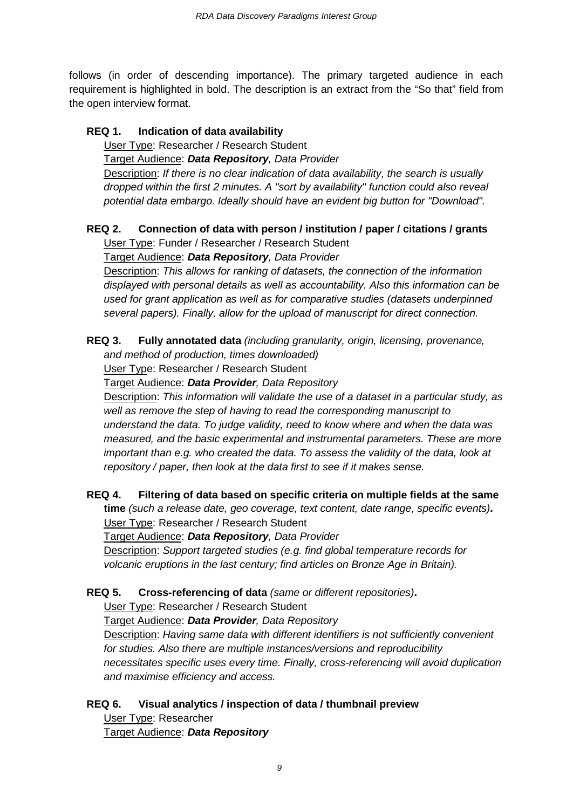follows (in order of descending importance). The primary targeted audience in each requirement is highlighted in bold. The description is an extract from the "So that" field from the open interview format.

#### **REQ 1. Indication of data availability**

User Type: Researcher / Research Student Target Audience: *Data Repository, Data Provider* Description: *If there is no clear indication of data availability, the search is usually dropped within the first 2 minutes. A "sort by availability" function could also reveal potential data embargo. Ideally should have an evident big button for "Download".*

## **REQ 2. Connection of data with person / institution / paper / citations / grants**

User Type: Funder / Researcher / Research Student

Target Audience: *Data Repository, Data Provider*

Description: *This allows for ranking of datasets, the connection of the information displayed with personal details as well as accountability. Also this information can be used for grant application as well as for comparative studies (datasets underpinned several papers). Finally, allow for the upload of manuscript for direct connection.*

**REQ 3. Fully annotated data** *(including granularity, origin, licensing, provenance,* 

*and method of production, times downloaded)*

User Type: Researcher / Research Student

Target Audience: *Data Provider, Data Repository*

Description: *This information will validate the use of a dataset in a particular study, as well as remove the step of having to read the corresponding manuscript to understand the data. To judge validity, need to know where and when the data was measured, and the basic experimental and instrumental parameters. These are more important than e.g. who created the data. To assess the validity of the data, look at repository / paper, then look at the data first to see if it makes sense.*

**REQ 4. Filtering of data based on specific criteria on multiple fields at the same time** *(such a release date, geo coverage, text content, date range, specific events)***.** User Type: Researcher / Research Student Target Audience: *Data Repository, Data Provider* Description: *Support targeted studies (e.g. find global temperature records for volcanic eruptions in the last century; find articles on Bronze Age in Britain).*

## **REQ 5. Cross-referencing of data** *(same or different repositories)***.**

User Type: Researcher / Research Student

Target Audience: *Data Provider, Data Repository*

Description: *Having same data with different identifiers is not sufficiently convenient for studies. Also there are multiple instances/versions and reproducibility necessitates specific uses every time. Finally, cross-referencing will avoid duplication and maximise efficiency and access.*

## **REQ 6. Visual analytics / inspection of data / thumbnail preview**

User Type: Researcher Target Audience: *Data Repository*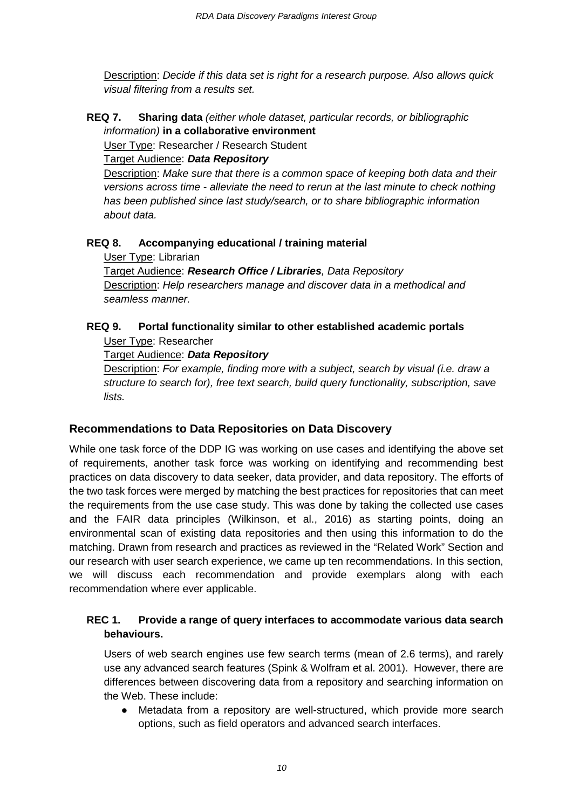Description: *Decide if this data set is right for a research purpose. Also allows quick visual filtering from a results set.*

**REQ 7. Sharing data** *(either whole dataset, particular records, or bibliographic information)* **in a collaborative environment**

User Type: Researcher / Research Student

#### Target Audience: *Data Repository*

Description: *Make sure that there is a common space of keeping both data and their versions across time - alleviate the need to rerun at the last minute to check nothing has been published since last study/search, or to share bibliographic information about data.* 

## **REQ 8. Accompanying educational / training material**

User Type: Librarian

Target Audience: *Research Office / Libraries, Data Repository* Description: *Help researchers manage and discover data in a methodical and seamless manner.*

## **REQ 9. Portal functionality similar to other established academic portals** User Type: Researcher

Target Audience: *Data Repository*

Description: *For example, finding more with a subject, search by visual (i.e. draw a structure to search for), free text search, build query functionality, subscription, save lists.*

## **Recommendations to Data Repositories on Data Discovery**

While one task force of the DDP IG was working on use cases and identifying the above set of requirements, another task force was working on identifying and recommending best practices on data discovery to data seeker, data provider, and data repository. The efforts of the two task forces were merged by matching the best practices for repositories that can meet the requirements from the use case study. This was done by taking the collected use cases and the FAIR data principles (Wilkinson, et al., 2016) as starting points, doing an environmental scan of existing data repositories and then using this information to do the matching. Drawn from research and practices as reviewed in the "Related Work" Section and our research with user search experience, we came up ten recommendations. In this section, we will discuss each recommendation and provide exemplars along with each recommendation where ever applicable.

#### **REC 1. Provide a range of query interfaces to accommodate various data search behaviours.**

Users of web search engines use few search terms (mean of 2.6 terms), and rarely use any advanced search features (Spink & Wolfram et al. 2001). However, there are differences between discovering data from a repository and searching information on the Web. These include:

Metadata from a repository are well-structured, which provide more search options, such as field operators and advanced search interfaces.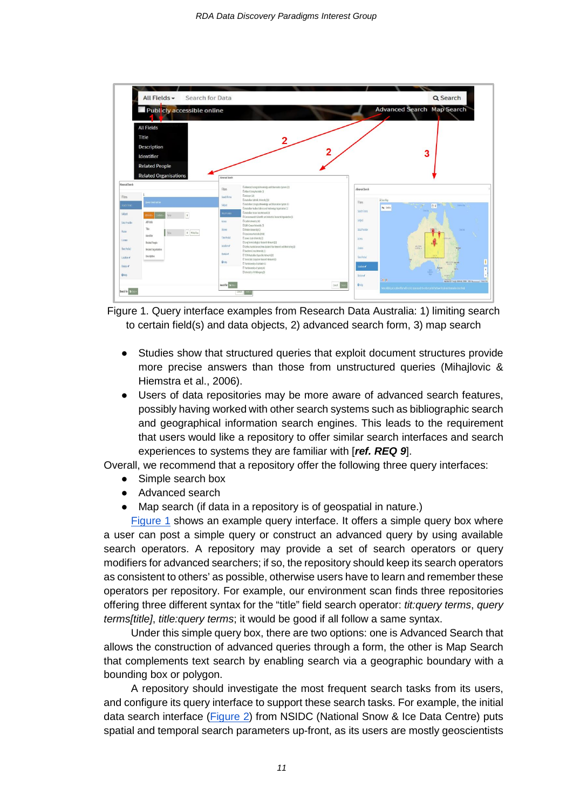

<span id="page-10-0"></span>Figure 1. Query interface examples from Research Data Australia: 1) limiting search to certain field(s) and data objects, 2) advanced search form, 3) map search

- Studies show that structured queries that exploit document structures provide more precise answers than those from unstructured queries (Mihajlovic & Hiemstra et al., 2006).
- Users of data repositories may be more aware of advanced search features, possibly having worked with other search systems such as bibliographic search and geographical information search engines. This leads to the requirement that users would like a repository to offer similar search interfaces and search experiences to systems they are familiar with [*ref. REQ 9*].

Overall, we recommend that a repository offer the following three query interfaces:

- Simple search box
- Advanced search
- Map search (if data in a repository is of geospatial in nature.)

[Figure 1](#page-10-0) shows an example query interface. It offers a simple query box where a user can post a simple query or construct an advanced query by using available search operators. A repository may provide a set of search operators or query modifiers for advanced searchers; if so, the repository should keep its search operators as consistent to others' as possible, otherwise users have to learn and remember these operators per repository. For example, our environment scan finds three repositories offering three different syntax for the "title" field search operator: *tit:query terms*, *query terms[title]*, *title:query terms*; it would be good if all follow a same syntax.

Under this simple query box, there are two options: one is Advanced Search that allows the construction of advanced queries through a form, the other is Map Search that complements text search by enabling search via a geographic boundary with a bounding box or polygon.

A repository should investigate the most frequent search tasks from its users, and configure its query interface to support these search tasks. For example, the initial data search interface [\(Figure 2\)](#page-11-0) from NSIDC (National Snow & Ice Data Centre) puts spatial and temporal search parameters up-front, as its users are mostly geoscientists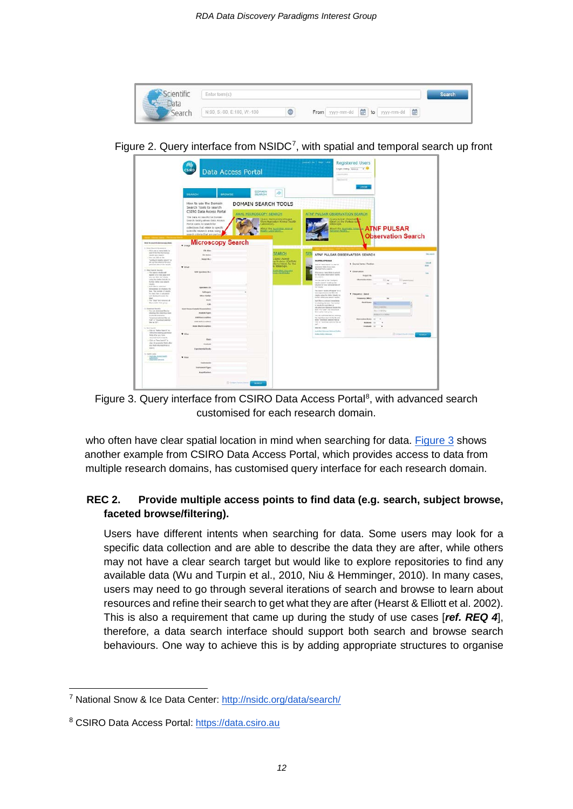

Figure 2. Query interface from NSIDC<sup>[7](#page-11-2)</sup>, with spatial and temporal search up front

<span id="page-11-0"></span>

<span id="page-11-1"></span>Figure 3. Query interface from CSIRO Data Access Portal<sup>[8](#page-11-3)</sup>, with advanced search customised for each research domain.

who often have clear spatial location in mind when searching for data. [Figure 3](#page-11-1) shows another example from CSIRO Data Access Portal, which provides access to data from multiple research domains, has customised query interface for each research domain.

## **REC 2. Provide multiple access points to find data (e.g. search, subject browse, faceted browse/filtering).**

Users have different intents when searching for data. Some users may look for a specific data collection and are able to describe the data they are after, while others may not have a clear search target but would like to explore repositories to find any available data (Wu and Turpin et al., 2010, Niu & Hemminger, 2010). In many cases, users may need to go through several iterations of search and browse to learn about resources and refine their search to get what they are after (Hearst & Elliott et al. 2002). This is also a requirement that came up during the study of use cases [*ref. REQ 4*], therefore, a data search interface should support both search and browse search behaviours. One way to achieve this is by adding appropriate structures to organise

<span id="page-11-2"></span> <sup>7</sup> National Snow & Ice Data Center:<http://nsidc.org/data/search/>

<span id="page-11-3"></span><sup>8</sup> CSIRO Data Access Portal: https://data.csiro.au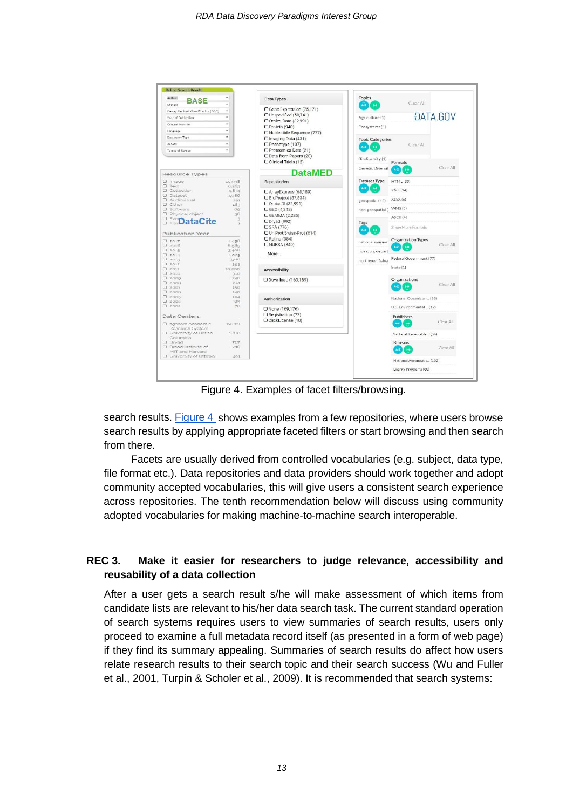

Figure 4. Examples of facet filters/browsing.

search results[. Figure 4](#page-12-0) shows examples from a few repositories, where users browse search results by applying appropriate faceted filters or start browsing and then search from there.

Facets are usually derived from controlled vocabularies (e.g. subject, data type, file format etc.). Data repositories and data providers should work together and adopt community accepted vocabularies, this will give users a consistent search experience across repositories. The tenth recommendation below will discuss using community adopted vocabularies for making machine-to-machine search interoperable.

## <span id="page-12-0"></span>**REC 3. Make it easier for researchers to judge relevance, accessibility and reusability of a data collection**

After a user gets a search result s/he will make assessment of which items from candidate lists are relevant to his/her data search task. The current standard operation of search systems requires users to view summaries of search results, users only proceed to examine a full metadata record itself (as presented in a form of web page) if they find its summary appealing. Summaries of search results do affect how users relate research results to their search topic and their search success (Wu and Fuller et al., 2001, Turpin & Scholer et al., 2009). It is recommended that search systems: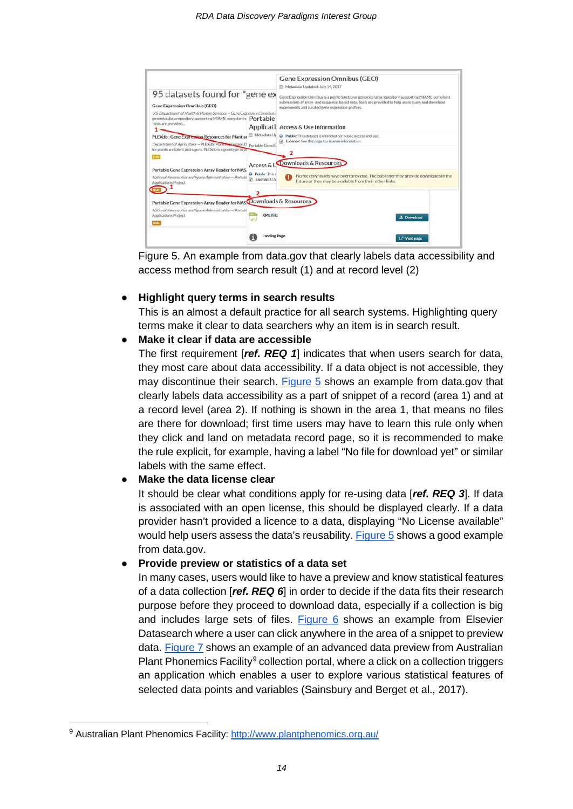

Figure 5. An example from data.gov that clearly labels data accessibility and access method from search result (1) and at record level (2)

#### <span id="page-13-0"></span>**Highlight query terms in search results**

This is an almost a default practice for all search systems. Highlighting query terms make it clear to data searchers why an item is in search result.

#### **Make it clear if data are accessible**

The first requirement [*ref. REQ 1*] indicates that when users search for data, they most care about data accessibility. If a data object is not accessible, they may discontinue their search. [Figure 5](#page-13-0) shows an example from data.gov that clearly labels data accessibility as a part of snippet of a record (area 1) and at a record level (area 2). If nothing is shown in the area 1, that means no files are there for download; first time users may have to learn this rule only when they click and land on metadata record page, so it is recommended to make the rule explicit, for example, having a label "No file for download yet" or similar labels with the same effect.

## **Make the data license clear**

It should be clear what conditions apply for re-using data [*ref. REQ 3*]. If data is associated with an open license, this should be displayed clearly. If a data provider hasn't provided a licence to a data, displaying "No License available" would help users assess the data's reusability. [Figure 5](#page-13-0) shows a good example from data.gov.

#### ● **Provide preview or statistics of a data set**

In many cases, users would like to have a preview and know statistical features of a data collection [*ref. REQ 6*] in order to decide if the data fits their research purpose before they proceed to download data, especially if a collection is big and includes large sets of files. [Figure 6](#page-14-0) shows an example from Elsevier Datasearch where a user can click anywhere in the area of a snippet to preview data. [Figure 7](#page-14-1) shows an example of an advanced data preview from Australian Plant Phonemics Facility<sup>[9](#page-13-1)</sup> collection portal, where a click on a collection triggers an application which enables a user to explore various statistical features of selected data points and variables (Sainsbury and Berget et al., 2017).

<span id="page-13-1"></span><sup>9</sup> Australian Plant Phenomics Facility:<http://www.plantphenomics.org.au/>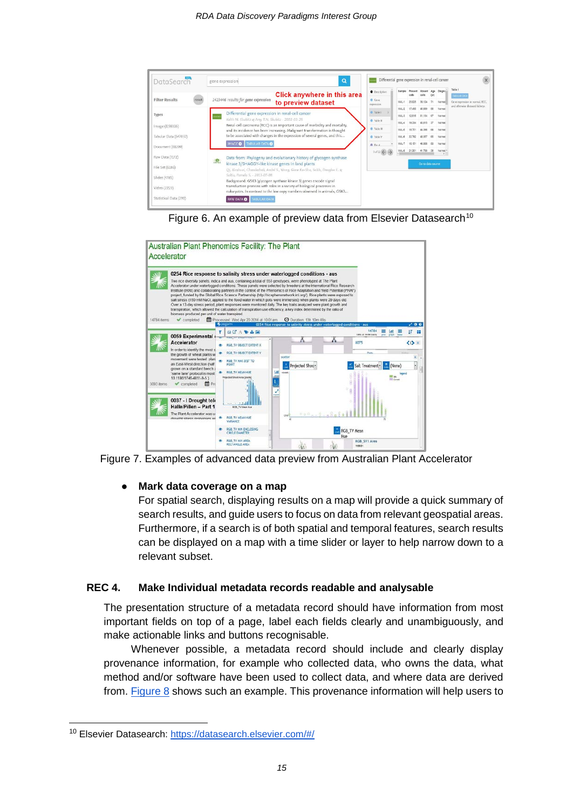



<span id="page-14-0"></span>

<span id="page-14-1"></span>

#### ● **Mark data coverage on a map**

For spatial search, displaying results on a map will provide a quick summary of search results, and guide users to focus on data from relevant geospatial areas. Furthermore, if a search is of both spatial and temporal features, search results can be displayed on a map with a time slider or layer to help narrow down to a relevant subset.

#### **REC 4. Make Individual metadata records readable and analysable**

The presentation structure of a metadata record should have information from most important fields on top of a page, label each fields clearly and unambiguously, and make actionable links and buttons recognisable.

Whenever possible, a metadata record should include and clearly display provenance information, for example who collected data, who owns the data, what method and/or software have been used to collect data, and where data are derived from. [Figure 8](#page-15-0) shows such an example. This provenance information will help users to

<span id="page-14-2"></span> <sup>10</sup> Elsevier Datasearch: [https://datasearch.elsevier.com/#/](https://datasearch.elsevier.com/%23/)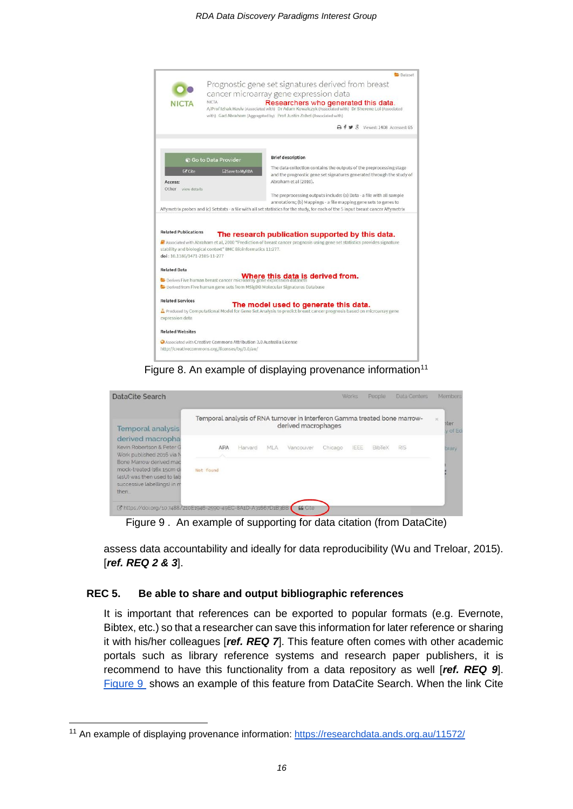

Figure 8. An example of displaying provenance information<sup>[11](#page-15-1)</sup>

<span id="page-15-0"></span>

| DataCite Search                                                                                                   |                                                                            |         |     |                     |         | Works | People | <b>Data Centers</b> | Members                     |
|-------------------------------------------------------------------------------------------------------------------|----------------------------------------------------------------------------|---------|-----|---------------------|---------|-------|--------|---------------------|-----------------------------|
| <b>Temporal analysis</b>                                                                                          | Temporal analysis of RNA turnover in Interferon Gamma treated bone marrow- |         |     | derived macrophages |         |       |        |                     | $\infty$<br>ater<br>y of Ed |
| derived macropha<br>Kevin Robertson & Peter G<br>Work published 2016 via N                                        | APA                                                                        | Harvard | MLA | Vancouver           | Chicago | IEEE  | BibTeX | <b>RIS</b>          | brary                       |
| Bone Marrow derived mac<br>mock-treated (16x 15cm di<br>(4sU) was then used to lab<br>successive labellings) in m | Not found                                                                  |         |     |                     |         |       |        |                     |                             |
| then.<br>L' https://doi.org/10.7488/210E1946-2590-49EC-8A1D-A31667D1B3BB                                          |                                                                            |         |     | <b>EG</b> Cite      |         |       |        |                     |                             |

Figure 9 . An example of supporting for data citation (from DataCite)

assess data accountability and ideally for data reproducibility (Wu and Treloar, 2015). [*ref. REQ 2 & 3*].

#### **REC 5. Be able to share and output bibliographic references**

It is important that references can be exported to popular formats (e.g. Evernote, Bibtex, etc.) so that a researcher can save this information for later reference or sharing it with his/her colleagues [*ref. REQ 7*]. This feature often comes with other academic portals such as library reference systems and research paper publishers, it is recommend to have this functionality from a data repository as well [*ref. REQ 9*]. Figure 9 shows an example of this feature from DataCite Search. When the link Cite

<span id="page-15-1"></span><sup>&</sup>lt;sup>11</sup> An example of displaying provenance information:<https://researchdata.ands.org.au/11572/>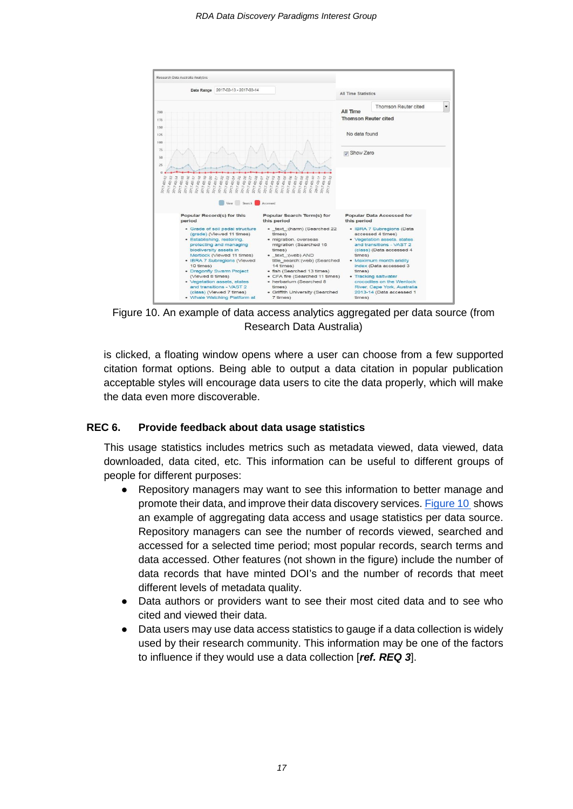

Figure 10. An example of data access analytics aggregated per data source (from Research Data Australia)

is clicked, a floating window opens where a user can choose from a few supported citation format options. Being able to output a data citation in popular publication acceptable styles will encourage data users to cite the data properly, which will make the data even more discoverable.

#### **REC 6. Provide feedback about data usage statistics**

This usage statistics includes metrics such as metadata viewed, data viewed, data downloaded, data cited, etc. This information can be useful to different groups of people for different purposes:

- Repository managers may want to see this information to better manage and promote their data, and improve their data discovery services. Figure 10 shows an example of aggregating data access and usage statistics per data source. Repository managers can see the number of records viewed, searched and accessed for a selected time period; most popular records, search terms and data accessed. Other features (not shown in the figure) include the number of data records that have minted DOI's and the number of records that meet different levels of metadata quality.
- Data authors or providers want to see their most cited data and to see who cited and viewed their data.
- Data users may use data access statistics to gauge if a data collection is widely used by their research community. This information may be one of the factors to influence if they would use a data collection [*ref. REQ 3*].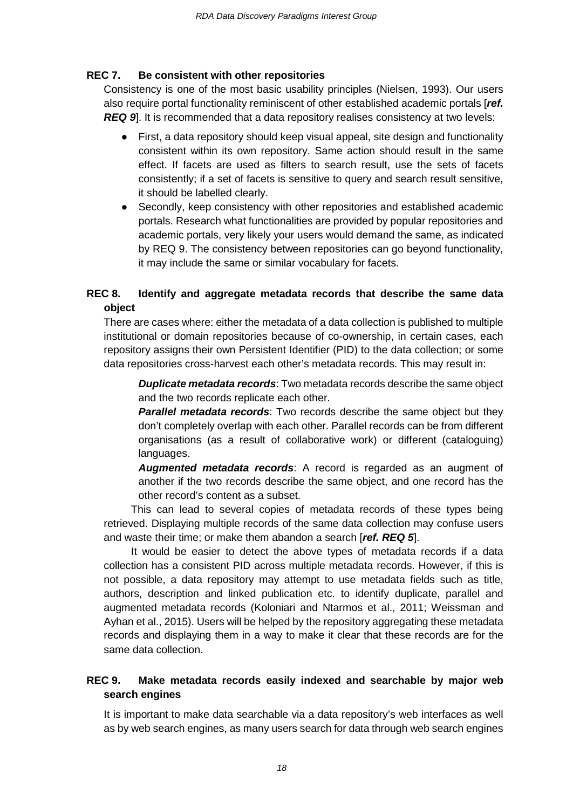#### **REC 7. Be consistent with other repositories**

Consistency is one of the most basic usability principles (Nielsen, 1993). Our users also require portal functionality reminiscent of other established academic portals [*ref.*  **REQ 9**. It is recommended that a data repository realises consistency at two levels:

- First, a data repository should keep visual appeal, site design and functionality consistent within its own repository. Same action should result in the same effect. If facets are used as filters to search result, use the sets of facets consistently; if a set of facets is sensitive to query and search result sensitive, it should be labelled clearly.
- Secondly, keep consistency with other repositories and established academic portals. Research what functionalities are provided by popular repositories and academic portals, very likely your users would demand the same, as indicated by REQ 9. The consistency between repositories can go beyond functionality, it may include the same or similar vocabulary for facets.

## **REC 8. Identify and aggregate metadata records that describe the same data object**

There are cases where: either the metadata of a data collection is published to multiple institutional or domain repositories because of co-ownership, in certain cases, each repository assigns their own Persistent Identifier (PID) to the data collection; or some data repositories cross-harvest each other's metadata records. This may result in:

*Duplicate metadata records*: Two metadata records describe the same object and the two records replicate each other.

*Parallel metadata records*: Two records describe the same object but they don't completely overlap with each other. Parallel records can be from different organisations (as a result of collaborative work) or different (cataloguing) languages.

*Augmented metadata records*: A record is regarded as an augment of another if the two records describe the same object, and one record has the other record's content as a subset.

This can lead to several copies of metadata records of these types being retrieved. Displaying multiple records of the same data collection may confuse users and waste their time; or make them abandon a search [*ref. REQ 5*].

It would be easier to detect the above types of metadata records if a data collection has a consistent PID across multiple metadata records. However, if this is not possible, a data repository may attempt to use metadata fields such as title, authors, description and linked publication etc. to identify duplicate, parallel and augmented metadata records (Koloniari and Ntarmos et al., 2011; Weissman and Ayhan et al., 2015). Users will be helped by the repository aggregating these metadata records and displaying them in a way to make it clear that these records are for the same data collection.

#### **REC 9. Make metadata records easily indexed and searchable by major web search engines**

It is important to make data searchable via a data repository's web interfaces as well as by web search engines, as many users search for data through web search engines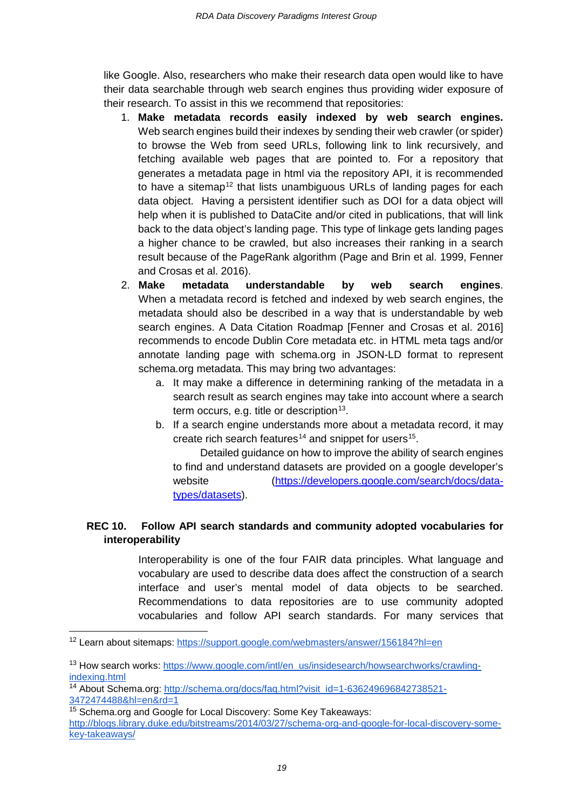like Google. Also, researchers who make their research data open would like to have their data searchable through web search engines thus providing wider exposure of their research. To assist in this we recommend that repositories:

- 1. **Make metadata records easily indexed by web search engines.** Web search engines build their indexes by sending their web crawler (or spider) to browse the Web from seed URLs, following link to link recursively, and fetching available web pages that are pointed to. For a repository that generates a metadata page in html via the repository API, it is recommended to have a sitemap<sup>[12](#page-18-0)</sup> that lists unambiguous URLs of landing pages for each data object. Having a persistent identifier such as DOI for a data object will help when it is published to DataCite and/or cited in publications, that will link back to the data object's landing page. This type of linkage gets landing pages a higher chance to be crawled, but also increases their ranking in a search result because of the PageRank algorithm (Page and Brin et al. 1999, Fenner and Crosas et al. 2016).
- 2. **Make metadata understandable by web search engines**. When a metadata record is fetched and indexed by web search engines, the metadata should also be described in a way that is understandable by web search engines. A Data Citation Roadmap [Fenner and Crosas et al. 2016] recommends to encode Dublin Core metadata etc. in HTML meta tags and/or annotate landing page with schema.org in JSON-LD format to represent schema.org metadata. This may bring two advantages:
	- a. It may make a difference in determining ranking of the metadata in a search result as search engines may take into account where a search term occurs, e.g. title or description $13$ .
	- b. If a search engine understands more about a metadata record, it may create rich search features<sup>[14](#page-18-2)</sup> and snippet for users<sup>[15](#page-18-3)</sup>.

Detailed guidance on how to improve the ability of search engines to find and understand datasets are provided on a google developer's website [\(https://developers.google.com/search/docs/data](https://developers.google.com/search/docs/data-types/datasets)[types/datasets\)](https://developers.google.com/search/docs/data-types/datasets).

## **REC 10. Follow API search standards and community adopted vocabularies for interoperability**

Interoperability is one of the four FAIR data principles. What language and vocabulary are used to describe data does affect the construction of a search interface and user's mental model of data objects to be searched. Recommendations to data repositories are to use community adopted vocabularies and follow API search standards. For many services that

<span id="page-18-0"></span> <sup>12</sup> Learn about sitemaps:<https://support.google.com/webmasters/answer/156184?hl=en>

<span id="page-18-1"></span><sup>&</sup>lt;sup>13</sup> How search works: [https://www.google.com/intl/en\\_us/insidesearch/howsearchworks/crawling](https://www.google.com/intl/en_us/insidesearch/howsearchworks/crawling-indexing.html)[indexing.html](https://www.google.com/intl/en_us/insidesearch/howsearchworks/crawling-indexing.html)

<span id="page-18-2"></span><sup>&</sup>lt;sup>14</sup> About Schema.org: [http://schema.org/docs/faq.html?visit\\_id=1-636249696842738521-](http://schema.org/docs/faq.html?visit_id=1-636249696842738521-3472474488&hl=en&rd=1) [3472474488&hl=en&rd=1](http://schema.org/docs/faq.html?visit_id=1-636249696842738521-3472474488&hl=en&rd=1)

<span id="page-18-3"></span><sup>&</sup>lt;sup>15</sup> Schema.org and Google for Local Discovery: Some Key Takeaways: [http://blogs.library.duke.edu/bitstreams/2014/03/27/schema-org-and-google-for-local-discovery-some](http://blogs.library.duke.edu/bitstreams/2014/03/27/schema-org-and-google-for-local-discovery-some-key-takeaways/)[key-takeaways/](http://blogs.library.duke.edu/bitstreams/2014/03/27/schema-org-and-google-for-local-discovery-some-key-takeaways/)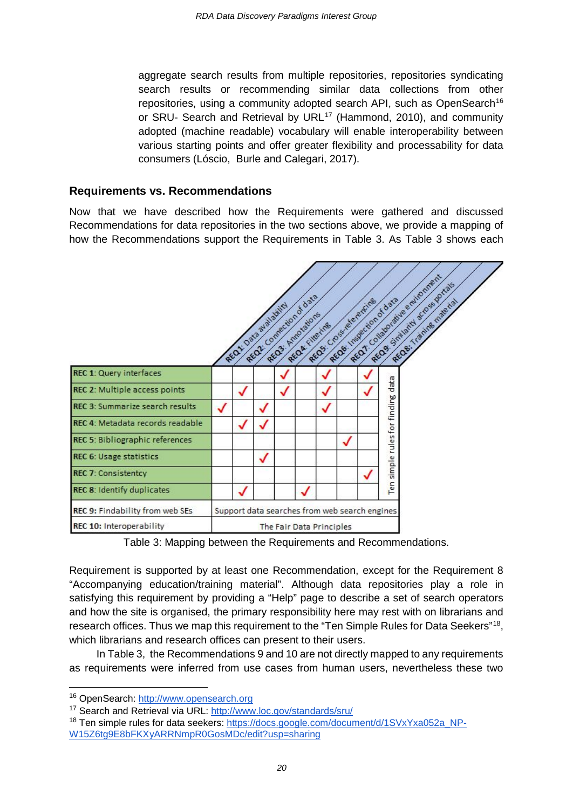aggregate search results from multiple repositories, repositories syndicating search results or recommending similar data collections from other repositories, using a community adopted search API, such as OpenSearch<sup>[16](#page-19-0)</sup> or SRU- Search and Retrieval by URL<sup>[17](#page-19-1)</sup> (Hammond, 2010), and community adopted (machine readable) vocabulary will enable interoperability between various starting points and offer greater flexibility and processability for data consumers (Lóscio, Burle and Calegari, 2017).

#### **Requirements vs. Recommendations**

Now that we have described how the Requirements were gathered and discussed Recommendations for data repositories in the two sections above, we provide a mapping of how the Recommendations support the Requirements in Table 3. As Table 3 shows each



Table 3: Mapping between the Requirements and Recommendations.

Requirement is supported by at least one Recommendation, except for the Requirement 8 "Accompanying education/training material". Although data repositories play a role in satisfying this requirement by providing a "Help" page to describe a set of search operators and how the site is organised, the primary responsibility here may rest with on librarians and research offices. Thus we map this requirement to the "Ten Simple Rules for Data Seekers"<sup>[18](#page-19-2)</sup>, which librarians and research offices can present to their users.

In Table 3, the Recommendations 9 and 10 are not directly mapped to any requirements as requirements were inferred from use cases from human users, nevertheless these two

<span id="page-19-0"></span><sup>16</sup> OpenSearch: [http://www.opensearch.org](http://www.opensearch.org/)

<span id="page-19-1"></span><sup>17</sup> Search and Retrieval via URL:<http://www.loc.gov/standards/sru/>

<span id="page-19-2"></span><sup>&</sup>lt;sup>18</sup> Ten simple rules for data seekers: [https://docs.google.com/document/d/1SVxYxa052a\\_NP-](https://docs.google.com/document/d/1SVxYxa052a_NP-W15Z6tg9E8bFKXyARRNmpR0GosMDc/edit?usp=sharing)[W15Z6tg9E8bFKXyARRNmpR0GosMDc/edit?usp=sharing](https://docs.google.com/document/d/1SVxYxa052a_NP-W15Z6tg9E8bFKXyARRNmpR0GosMDc/edit?usp=sharing)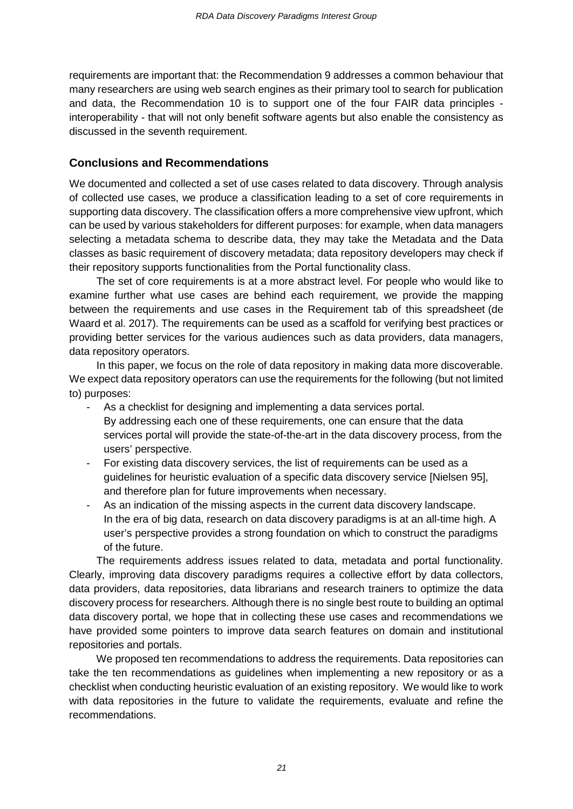requirements are important that: the Recommendation 9 addresses a common behaviour that many researchers are using web search engines as their primary tool to search for publication and data, the Recommendation 10 is to support one of the four FAIR data principles interoperability - that will not only benefit software agents but also enable the consistency as discussed in the seventh requirement.

## **Conclusions and Recommendations**

We documented and collected a set of use cases related to data discovery. Through analysis of collected use cases, we produce a classification leading to a set of core requirements in supporting data discovery. The classification offers a more comprehensive view upfront, which can be used by various stakeholders for different purposes: for example, when data managers selecting a metadata schema to describe data, they may take the Metadata and the Data classes as basic requirement of discovery metadata; data repository developers may check if their repository supports functionalities from the Portal functionality class.

The set of core requirements is at a more abstract level. For people who would like to examine further what use cases are behind each requirement, we provide the mapping between the requirements and use cases in the Requirement tab of this spreadsheet (de Waard et al. 2017). The requirements can be used as a scaffold for verifying best practices or providing better services for the various audiences such as data providers, data managers, data repository operators.

In this paper, we focus on the role of data repository in making data more discoverable. We expect data repository operators can use the requirements for the following (but not limited to) purposes:

- As a checklist for designing and implementing a data services portal. By addressing each one of these requirements, one can ensure that the data services portal will provide the state-of-the-art in the data discovery process, from the users' perspective.
- For existing data discovery services, the list of requirements can be used as a guidelines for heuristic evaluation of a specific data discovery service [Nielsen 95], and therefore plan for future improvements when necessary.
- As an indication of the missing aspects in the current data discovery landscape. In the era of big data, research on data discovery paradigms is at an all-time high. A user's perspective provides a strong foundation on which to construct the paradigms of the future.

The requirements address issues related to data, metadata and portal functionality. Clearly, improving data discovery paradigms requires a collective effort by data collectors, data providers, data repositories, data librarians and research trainers to optimize the data discovery process for researchers. Although there is no single best route to building an optimal data discovery portal, we hope that in collecting these use cases and recommendations we have provided some pointers to improve data search features on domain and institutional repositories and portals.

We proposed ten recommendations to address the requirements. Data repositories can take the ten recommendations as guidelines when implementing a new repository or as a checklist when conducting heuristic evaluation of an existing repository. We would like to work with data repositories in the future to validate the requirements, evaluate and refine the recommendations.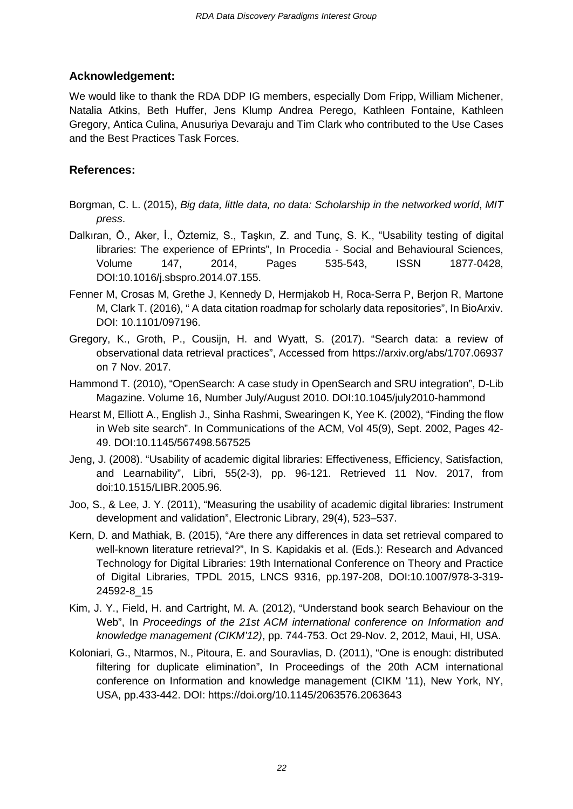## **Acknowledgement:**

We would like to thank the RDA DDP IG members, especially Dom Fripp, William Michener, Natalia Atkins, Beth Huffer, Jens Klump Andrea Perego, Kathleen Fontaine, Kathleen Gregory, Antica Culina, Anusuriya Devaraju and Tim Clark who contributed to the Use Cases and the Best Practices Task Forces.

## **References:**

- Borgman, C. L. (2015), *Big data, little data, no data: Scholarship in the networked world*, *MIT press*.
- Dalkıran, Ö., Aker, İ., Öztemiz, S., Taşkın, Z. and Tunç, S. K., "Usability testing of digital libraries: The experience of EPrints", In Procedia - Social and Behavioural Sciences, Volume 147, 2014, Pages 535-543, ISSN 1877-0428, DOI:10.1016/j.sbspro.2014.07.155.
- Fenner M, Crosas M, Grethe J, Kennedy D, Hermjakob H, Roca-Serra P, Berjon R, Martone M, Clark T. (2016)[,](http://scholar.harvard.edu/mercecrosas/publications/data-citation-roadmap-scholarly-data-repositories) " A data citation roadmap for scholarly data repositories", In BioArxiv. DOI: [10.1101/097196.](https://doi.org/10.1101/097196)
- Gregory, K., Groth, P., Cousijn, H. and Wyatt, S. (2017). "Search data: a review of observational data retrieval practices", Accessed from<https://arxiv.org/abs/1707.06937> on 7 Nov. 2017.
- Hammond T. (2010), "OpenSearch: A case study in OpenSearch and SRU integration", D-Lib Magazine. Volume 16, Number July/August 2010. DOI:10.1045/july2010-hammond
- Hearst M, Elliott A., English J., Sinha Rashmi, Swearingen K, Yee K. (2002), "Finding the flow in Web site search". In Communications of the ACM, Vol 45(9), Sept. 2002, Pages 42- 49. DOI[:10.1145/567498.567525](https://doi.org/10.1145/567498.567525)
- Jeng, J. (2008). "Usability of academic digital libraries: Effectiveness, Efficiency, Satisfaction, and Learnability", Libri, 55(2-3), pp. 96-121. Retrieved 11 Nov. 2017, from doi:10.1515/LIBR.2005.96.
- Joo, S., & Lee, J. Y. (2011), "Measuring the usability of academic digital libraries: Instrument development and validation", Electronic Library, 29(4), 523–537.
- Kern, D. and Mathiak, B. (2015), "Are there any differences in data set retrieval compared to well-known literature retrieval?", In S. Kapidakis et al. (Eds.): Research and Advanced Technology for Digital Libraries: 19th International Conference on Theory and Practice of Digital Libraries, TPDL 2015, LNCS 9316, pp.197-208, DOI:10.1007/978-3-319- 24592-8\_15
- Kim, J. Y., Field, H. and Cartright, M. A. (2012), "Understand book search Behaviour on the Web", In *Proceedings of the 21st ACM international conference on Information and knowledge management (CIKM'12)*, pp. 744-753. Oct 29-Nov. 2, 2012, Maui, HI, USA.
- Koloniari, G., Ntarmos, N., Pitoura, E. and Souravlias, D. (2011), "One is enough: distributed filtering for duplicate elimination", In Proceedings of the 20th ACM international conference on Information and knowledge management (CIKM '11), New York, NY, USA, pp.433-442. DOI: https://doi.org/10.1145/2063576.2063643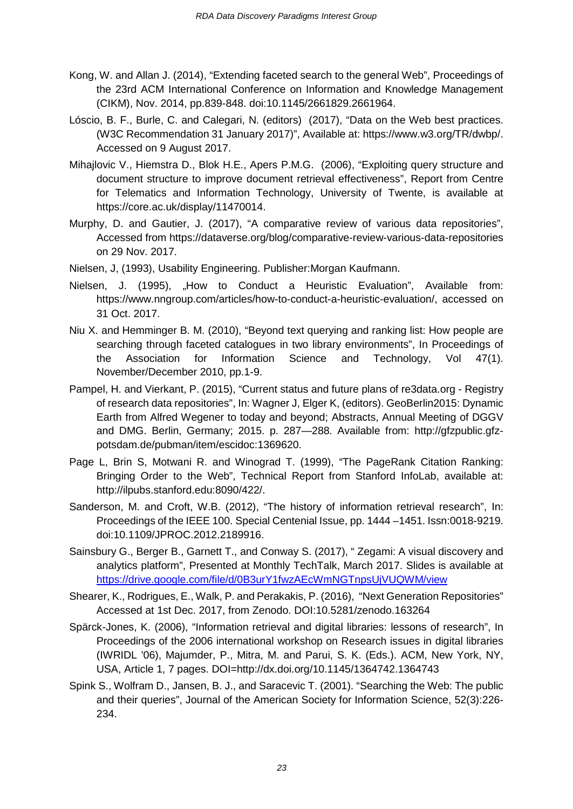- Kong, W. and Allan J. (2014), "Extending faceted search to the general Web", Proceedings of the 23rd ACM International Conference on Information and Knowledge Management (CIKM), Nov. 2014, pp.839-848. doi[:10.1145/2661829.2661964.](https://doi.org/10.1145/2661829.2661964)
- Lóscio, B. F., Burle, C. and Calegari, N. (editors) (2017), "Data on the Web best practices. (W3C Recommendation 31 January 2017)", Available at: [https://www.w3.org/TR/dwbp/.](https://www.w3.org/TR/dwbp/) Accessed on 9 August 2017.
- Mihajlovic V., Hiemstra D., Blok H.E., Apers P.M.G. (2006), "Exploiting query structure and document structure to improve document retrieval effectiveness", Report from Centre for Telematics and Information Technology, University of Twente, is available at [https://core.ac.uk/display/11470014.](https://core.ac.uk/display/11470014)
- Murphy, D. and Gautier, J. (2017), "A comparative review of various data repositories", Accessed from<https://dataverse.org/blog/comparative-review-various-data-repositories> on 29 Nov. 2017.
- Nielsen, J, (1993), Usability Engineering. Publisher:Morgan Kaufmann.
- Nielsen, J. (1995), "How to Conduct a Heuristic Evaluation", Available from: [https://www.nngroup.com/articles/how-to-conduct-a-heuristic-evaluation/,](https://www.nngroup.com/articles/how-to-conduct-a-heuristic-evaluation/) accessed on 31 Oct. 2017.
- Niu X. and Hemminger B. M. (2010), "Beyond text querying and ranking list: How people are searching through faceted catalogues in two library environments", In Proceedings of the Association for Information Science and Technology, Vol 47(1). November/December 2010, pp.1-9.
- Pampel, H. and Vierkant, P. (2015), "Current status and future plans of re3data.org Registry of research data repositories", In: Wagner J, Elger K, (editors). GeoBerlin2015: Dynamic Earth from Alfred Wegener to today and beyond; Abstracts, Annual Meeting of DGGV and DMG. Berlin, Germany; 2015. p. 287—288. Available from[:](http://gfzpublic.gfz-potsdam.de/pubman/item/escidoc:1369620) [http://gfzpublic.gfz](http://gfzpublic.gfz-potsdam.de/pubman/item/escidoc:1369620)[potsdam.de/pubman/item/escidoc:1369620.](http://gfzpublic.gfz-potsdam.de/pubman/item/escidoc:1369620)
- Page L, Brin S, Motwani R. and Winograd T. (1999), "The PageRank Citation Ranking: Bringing Order to the Web", Technical Report from Stanford InfoLab, available at: [http://ilpubs.stanford.edu:8090/422/.](http://ilpubs.stanford.edu:8090/422/)
- Sanderson, M. and Croft, W.B. (2012), "The history of information retrieval research", In: Proceedings of the IEEE 100. Special Centenial Issue, pp. 1444 –1451. Issn:0018-9219. doi:10.1109/JPROC.2012.2189916.
- Sainsbury G., Berger B., Garnett T., and Conway S. (2017), " Zegami: A visual discovery and analytics platform", Presented at Monthly TechTalk, March 2017. Slides is available at <https://drive.google.com/file/d/0B3urY1fwzAEcWmNGTnpsUjVUQWM/view>
- Shearer, K., Rodrigues, E., Walk, P. and Perakakis, P. (2016), "Next Generation Repositories" Accessed at 1st Dec. 2017, from Zenodo. DOI[:10.5281/zenodo.163264](http://doi.org/10.5281/zenodo.163264)
- Spärck-Jones, K. (2006), "Information retrieval and digital libraries: lessons of research", In Proceedings of the 2006 international workshop on Research issues in digital libraries (IWRIDL '06), Majumder, P., Mitra, M. and Parui, S. K. (Eds.). ACM, New York, NY, USA, Article 1, 7 pages. DOI=http://dx.doi.org/10.1145/1364742.1364743
- Spink S., Wolfram D., Jansen, B. J., and Saracevic T. (2001). "Searching the Web: The public and their queries", Journal of the American Society for Information Science, 52(3):226- 234.